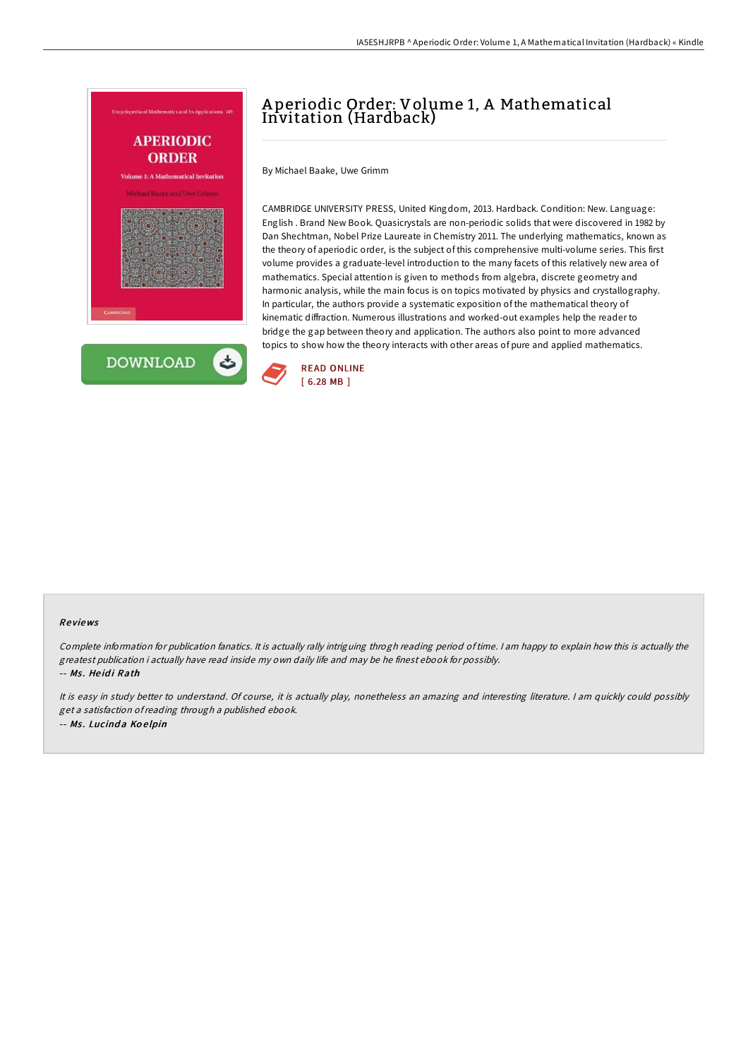

# A periodic Order: Volume 1, A Mathematical Invitation (Hardback)

By Michael Baake, Uwe Grimm

CAMBRIDGE UNIVERSITY PRESS, United Kingdom, 2013. Hardback. Condition: New. Language: English . Brand New Book. Quasicrystals are non-periodic solids that were discovered in 1982 by Dan Shechtman, Nobel Prize Laureate in Chemistry 2011. The underlying mathematics, known as the theory of aperiodic order, is the subject of this comprehensive multi-volume series. This first volume provides a graduate-level introduction to the many facets of this relatively new area of mathematics. Special attention is given to methods from algebra, discrete geometry and harmonic analysis, while the main focus is on topics motivated by physics and crystallography. In particular, the authors provide a systematic exposition of the mathematical theory of kinematic diffraction. Numerous illustrations and worked-out examples help the reader to bridge the gap between theory and application. The authors also point to more advanced topics to show how the theory interacts with other areas of pure and applied mathematics.



#### Re views

Complete information for publication fanatics. It is actually rally intriguing throgh reading period of time. I am happy to explain how this is actually the greatest publication i actually have read inside my own daily life and may be he finest ebook for possibly. -- Ms. Heidi Rath

It is easy in study better to understand. Of course, it is actually play, nonetheless an amazing and interesting literature. <sup>I</sup> am quickly could possibly get <sup>a</sup> satisfaction ofreading through <sup>a</sup> published ebook. -- Ms. Lucinda Koelpin